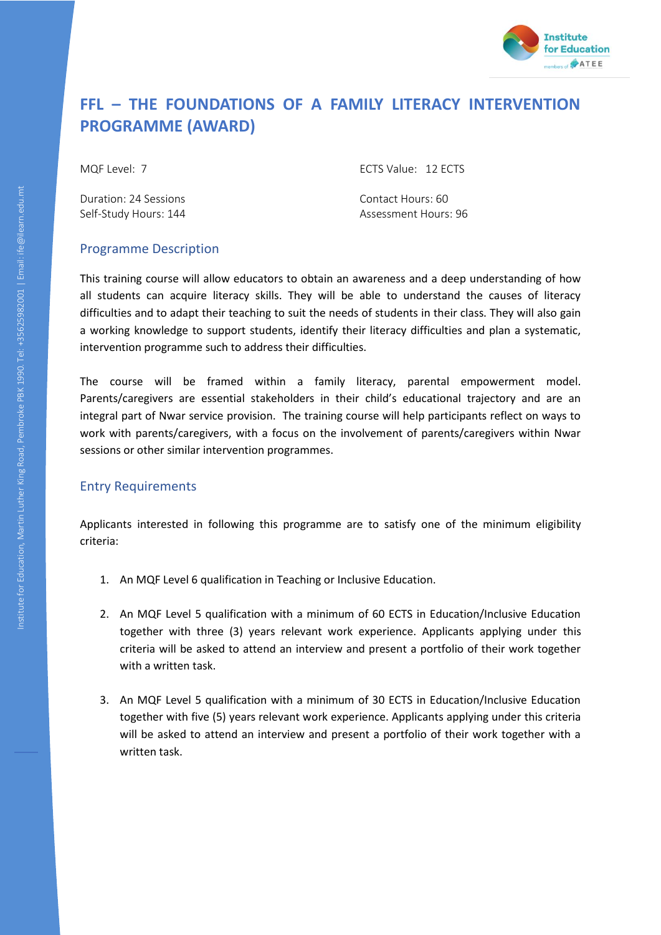

# **FFL – THE FOUNDATIONS OF A FAMILY LITERACY INTERVENTION PROGRAMME (AWARD)**

Duration: 24 Sessions Contact Hours: 60

MQF Level: 7 ECTS Value: 12 ECTS

Self-Study Hours: 144 Assessment Hours: 96

# Programme Description

This training course will allow educators to obtain an awareness and a deep understanding of how all students can acquire literacy skills. They will be able to understand the causes of literacy difficulties and to adapt their teaching to suit the needs of students in their class. They will also gain a working knowledge to support students, identify their literacy difficulties and plan a systematic, intervention programme such to address their difficulties.

The course will be framed within a family literacy, parental empowerment model. Parents/caregivers are essential stakeholders in their child's educational trajectory and are an integral part of Nwar service provision. The training course will help participants reflect on ways to work with parents/caregivers, with a focus on the involvement of parents/caregivers within Nwar sessions or other similar intervention programmes.

# Entry Requirements

Applicants interested in following this programme are to satisfy one of the minimum eligibility criteria:

- 1. An MQF Level 6 qualification in Teaching or Inclusive Education.
- 2. An MQF Level 5 qualification with a minimum of 60 ECTS in Education/Inclusive Education together with three (3) years relevant work experience. Applicants applying under this criteria will be asked to attend an interview and present a portfolio of their work together with a written task.
- 3. An MQF Level 5 qualification with a minimum of 30 ECTS in Education/Inclusive Education together with five (5) years relevant work experience. Applicants applying under this criteria will be asked to attend an interview and present a portfolio of their work together with a written task.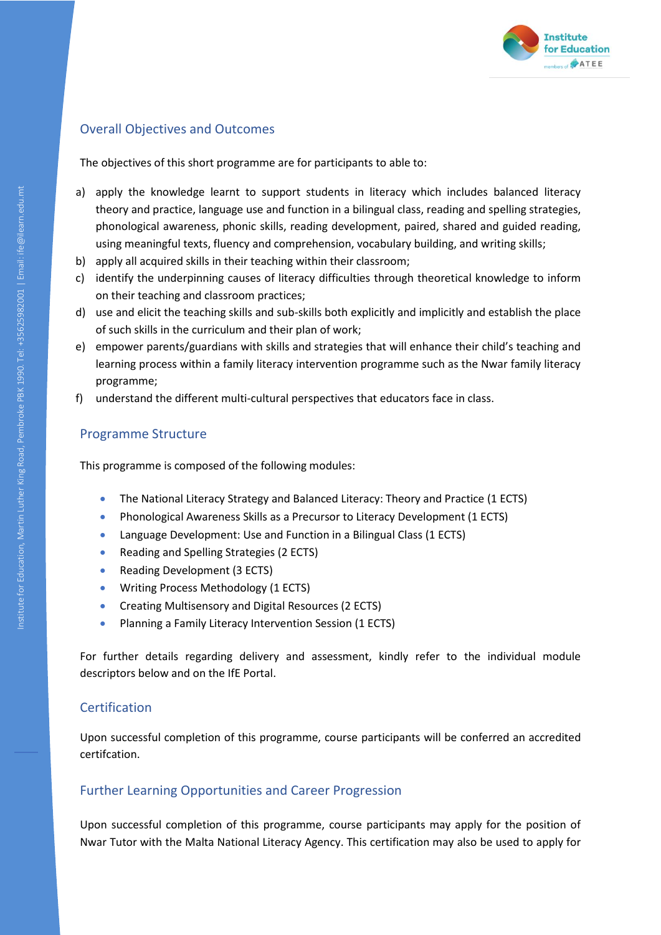

# Overall Objectives and Outcomes

The objectives of this short programme are for participants to able to:

- a) apply the knowledge learnt to support students in literacy which includes balanced literacy theory and practice, language use and function in a bilingual class, reading and spelling strategies, phonological awareness, phonic skills, reading development, paired, shared and guided reading, using meaningful texts, fluency and comprehension, vocabulary building, and writing skills;
- b) apply all acquired skills in their teaching within their classroom;
- c) identify the underpinning causes of literacy difficulties through theoretical knowledge to inform on their teaching and classroom practices;
- d) use and elicit the teaching skills and sub-skills both explicitly and implicitly and establish the place of such skills in the curriculum and their plan of work;
- e) empower parents/guardians with skills and strategies that will enhance their child's teaching and learning process within a family literacy intervention programme such as the Nwar family literacy programme;
- f) understand the different multi-cultural perspectives that educators face in class.

## Programme Structure

This programme is composed of the following modules:

- The National Literacy Strategy and Balanced Literacy: Theory and Practice (1 ECTS)
- Phonological Awareness Skills as a Precursor to Literacy Development (1 ECTS)
- Language Development: Use and Function in a Bilingual Class (1 ECTS)
- Reading and Spelling Strategies (2 ECTS)
- Reading Development (3 ECTS)
- Writing Process Methodology (1 ECTS)
- Creating Multisensory and Digital Resources (2 ECTS)
- Planning a Family Literacy Intervention Session (1 ECTS)

For further details regarding delivery and assessment, kindly refer to the individual module descriptors below and on the IfE Portal.

# **Certification**

Upon successful completion of this programme, course participants will be conferred an accredited certifcation.

## Further Learning Opportunities and Career Progression

Upon successful completion of this programme, course participants may apply for the position of Nwar Tutor with the Malta National Literacy Agency. This certification may also be used to apply for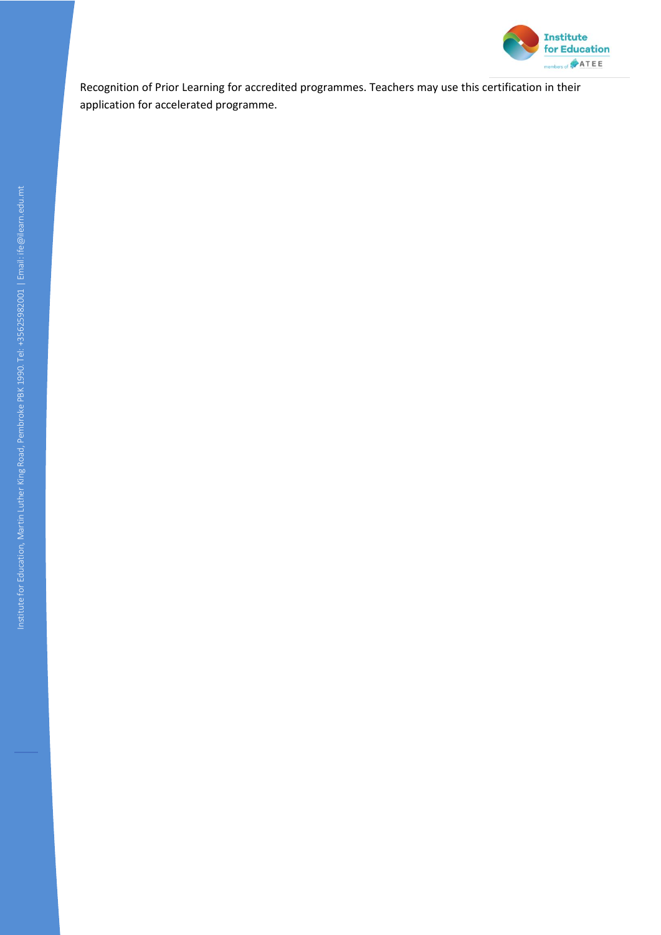

Recognition of Prior Learning for accredited programmes. Teachers may use this certification in their application for accelerated programme.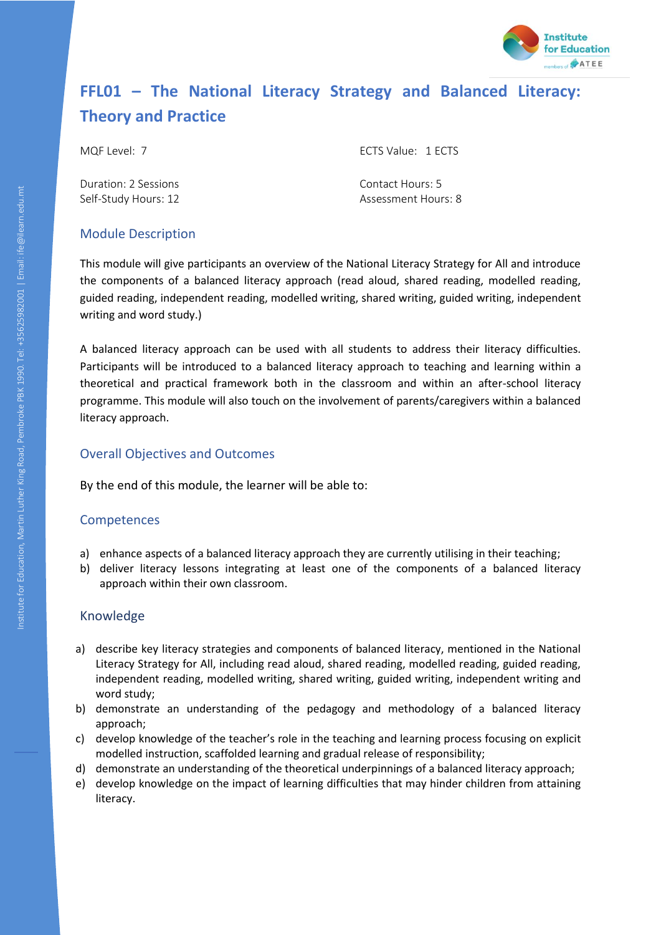

# **FFL01 – The National Literacy Strategy and Balanced Literacy: Theory and Practice**

MQF Level: 7 ECTS Value: 1 ECTS

Duration: 2 Sessions Contact Hours: 5

Self-Study Hours: 12 Assessment Hours: 8

# Module Description

This module will give participants an overview of the National Literacy Strategy for All and introduce the components of a balanced literacy approach (read aloud, shared reading, modelled reading, guided reading, independent reading, modelled writing, shared writing, guided writing, independent writing and word study.)

A balanced literacy approach can be used with all students to address their literacy difficulties. Participants will be introduced to a balanced literacy approach to teaching and learning within a theoretical and practical framework both in the classroom and within an after-school literacy programme. This module will also touch on the involvement of parents/caregivers within a balanced literacy approach.

# Overall Objectives and Outcomes

By the end of this module, the learner will be able to:

# **Competences**

- a) enhance aspects of a balanced literacy approach they are currently utilising in their teaching;
- b) deliver literacy lessons integrating at least one of the components of a balanced literacy approach within their own classroom.

- a) describe key literacy strategies and components of balanced literacy, mentioned in the National Literacy Strategy for All, including read aloud, shared reading, modelled reading, guided reading, independent reading, modelled writing, shared writing, guided writing, independent writing and word study;
- b) demonstrate an understanding of the pedagogy and methodology of a balanced literacy approach;
- c) develop knowledge of the teacher's role in the teaching and learning process focusing on explicit modelled instruction, scaffolded learning and gradual release of responsibility;
- d) demonstrate an understanding of the theoretical underpinnings of a balanced literacy approach;
- e) develop knowledge on the impact of learning difficulties that may hinder children from attaining literacy.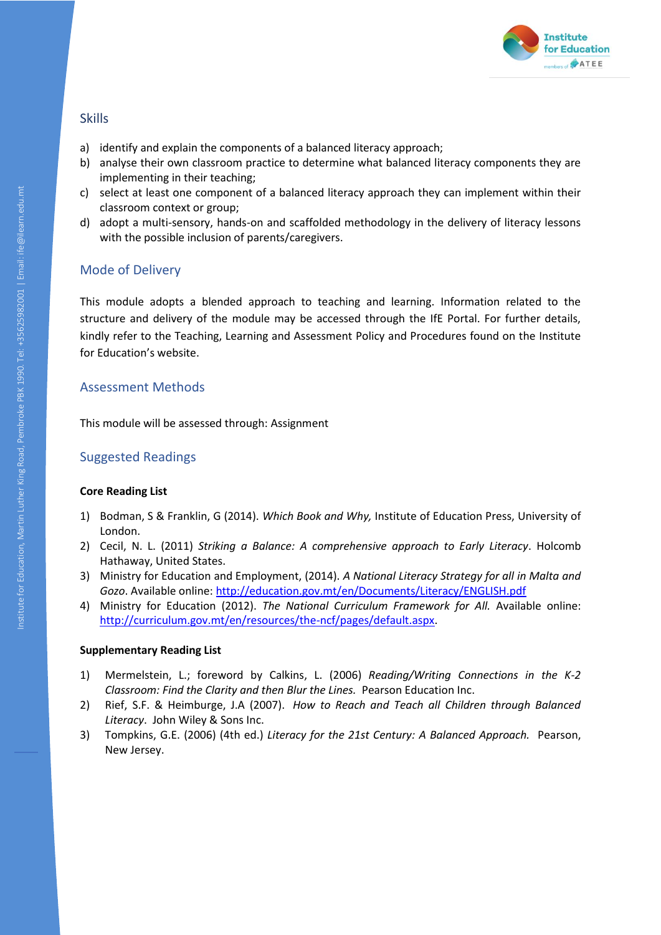

- a) identify and explain the components of a balanced literacy approach;
- b) analyse their own classroom practice to determine what balanced literacy components they are implementing in their teaching;
- c) select at least one component of a balanced literacy approach they can implement within their classroom context or group;
- d) adopt a multi-sensory, hands-on and scaffolded methodology in the delivery of literacy lessons with the possible inclusion of parents/caregivers.

# Mode of Delivery

This module adopts a blended approach to teaching and learning. Information related to the structure and delivery of the module may be accessed through the IfE Portal. For further details, kindly refer to the Teaching, Learning and Assessment Policy and Procedures found on the Institute for Education's website.

## Assessment Methods

This module will be assessed through: Assignment

# Suggested Readings

#### **Core Reading List**

- 1) Bodman, S & Franklin, G (2014). *Which Book and Why,* Institute of Education Press, University of London.
- 2) Cecil, N. L. (2011) *Striking a Balance: A comprehensive approach to Early Literacy*. Holcomb Hathaway, United States.
- 3) Ministry for Education and Employment, (2014). *A National Literacy Strategy for all in Malta and Gozo*. Available online:<http://education.gov.mt/en/Documents/Literacy/ENGLISH.pdf>
- 4) Ministry for Education (2012). *The National Curriculum Framework for All.* Available online: [http://curriculum.gov.mt/en/resources/the-ncf/pages/default.aspx.](http://curriculum.gov.mt/en/resources/the-ncf/pages/default.aspx)

- 1) Mermelstein, L.; foreword by Calkins, L. (2006) *Reading/Writing Connections in the K-2 Classroom: Find the Clarity and then Blur the Lines.* Pearson Education Inc.
- 2) Rief, S.F. & Heimburge, J.A (2007). *How to Reach and Teach all Children through Balanced Literacy*. John Wiley & Sons Inc.
- 3) Tompkins, G.E. (2006) (4th ed.) *Literacy for the 21st Century: A Balanced Approach.* Pearson, New Jersey.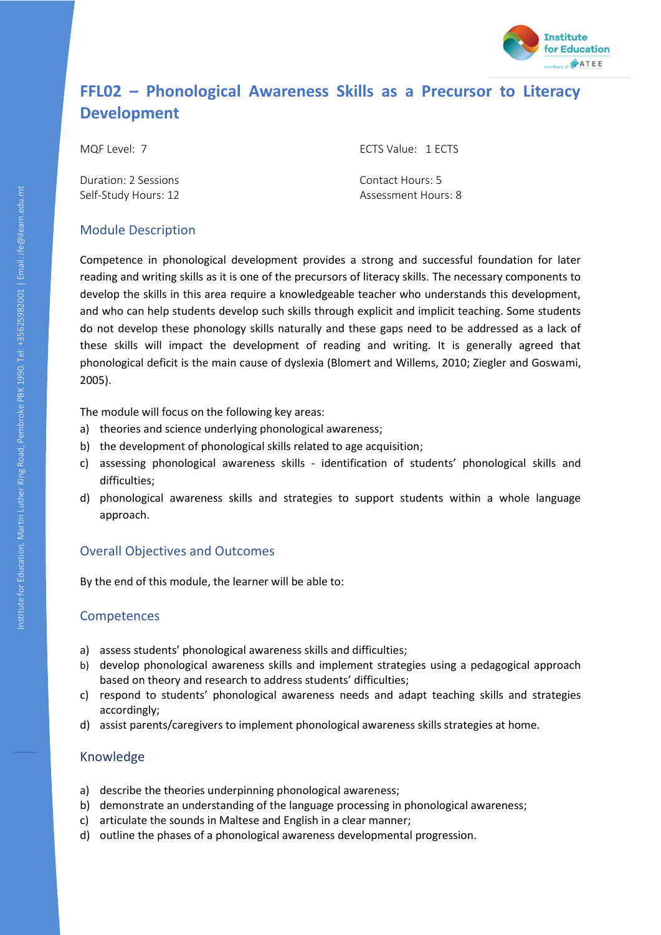

# **FFL02 – Phonological Awareness Skills as a Precursor to Literacy Development**

Duration: 2 Sessions Contact Hours: 5

MQF Level: 7 ECTS Value: 1 ECTS

Self-Study Hours: 12 Assessment Hours: 8

# Module Description

Competence in phonological development provides a strong and successful foundation for later reading and writing skills as it is one of the precursors of literacy skills. The necessary components to develop the skills in this area require a knowledgeable teacher who understands this development, and who can help students develop such skills through explicit and implicit teaching. Some students do not develop these phonology skills naturally and these gaps need to be addressed as a lack of these skills will impact the development of reading and writing. It is generally agreed that phonological deficit is the main cause of dyslexia (Blomert and Willems, 2010; Ziegler and Goswami, 2005).

The module will focus on the following key areas:

- a) theories and science underlying phonological awareness;
- b) the development of phonological skills related to age acquisition;
- c) assessing phonological awareness skills identification of students' phonological skills and difficulties;
- d) phonological awareness skills and strategies to support students within a whole language approach.

# Overall Objectives and Outcomes

By the end of this module, the learner will be able to:

# Competences

- a) assess students' phonological awareness skills and difficulties;
- b) develop phonological awareness skills and implement strategies using a pedagogical approach based on theory and research to address students' difficulties;
- c) respond to students' phonological awareness needs and adapt teaching skills and strategies accordingly;
- d) assist parents/caregivers to implement phonological awareness skills strategies at home.

- a) describe the theories underpinning phonological awareness;
- b) demonstrate an understanding of the language processing in phonological awareness;
- c) articulate the sounds in Maltese and English in a clear manner;
- d) outline the phases of a phonological awareness developmental progression.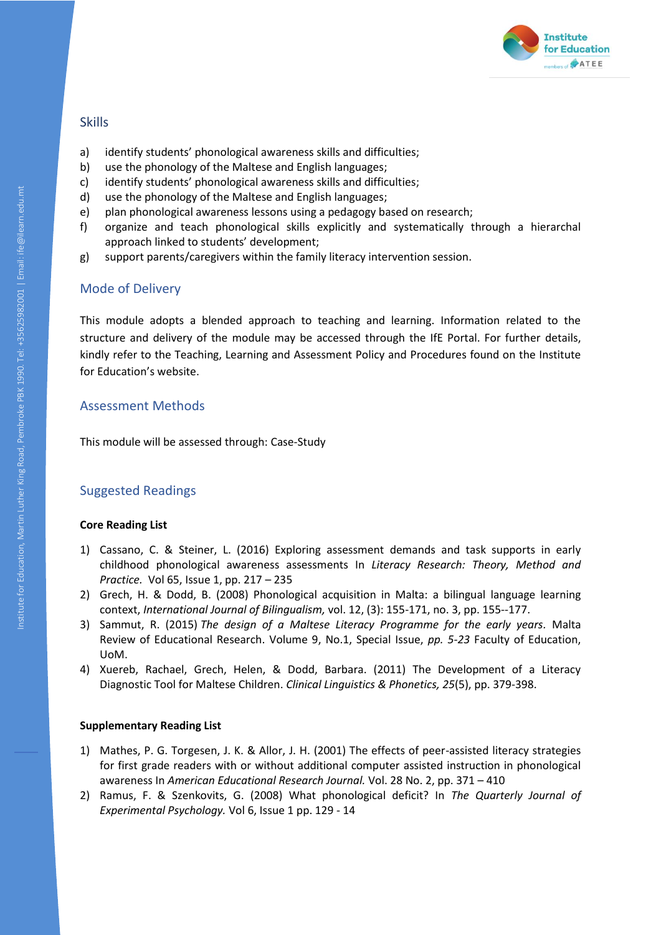

- a) identify students' phonological awareness skills and difficulties;
- b) use the phonology of the Maltese and English languages;
- c) identify students' phonological awareness skills and difficulties;
- d) use the phonology of the Maltese and English languages;
- e) plan phonological awareness lessons using a pedagogy based on research;
- f) organize and teach phonological skills explicitly and systematically through a hierarchal approach linked to students' development;
- g) support parents/caregivers within the family literacy intervention session.

# Mode of Delivery

This module adopts a blended approach to teaching and learning. Information related to the structure and delivery of the module may be accessed through the IfE Portal. For further details, kindly refer to the Teaching, Learning and Assessment Policy and Procedures found on the Institute for Education's website.

## Assessment Methods

This module will be assessed through: Case-Study

# Suggested Readings

## **Core Reading List**

- 1) Cassano, C. & Steiner, L. (2016) Exploring assessment demands and task supports in early childhood phonological awareness assessments In *Literacy Research: Theory, Method and Practice.* Vol 65, Issue 1, pp. 217 – 235
- 2) Grech, H. & Dodd, B. (2008) Phonological acquisition in Malta: a bilingual language learning context, *International Journal of Bilingualism,* vol. 12, (3): 155-171, no. 3, pp. 155--177.
- 3) Sammut, R. (2015) *The design of a Maltese Literacy Programme for the early years.* Malta Review of Educational Research. Volume 9, No.1, Special Issue, *pp. 5-23* Faculty of Education, UoM.
- 4) Xuereb, Rachael, Grech, Helen, & Dodd, Barbara. (2011) The Development of a Literacy Diagnostic Tool for Maltese Children. *Clinical Linguistics & Phonetics, 25*(5), pp. 379-398.

- 1) Mathes, P. G. Torgesen, J. K. & Allor, J. H. (2001) The effects of peer-assisted literacy strategies for first grade readers with or without additional computer assisted instruction in phonological awareness In *American Educational Research Journal.* Vol. 28 No. 2, pp. 371 – 410
- 2) Ramus, F. & Szenkovits, G. (2008) What phonological deficit? In *The Quarterly Journal of Experimental Psychology.* Vol 6, Issue 1 pp. 129 - 14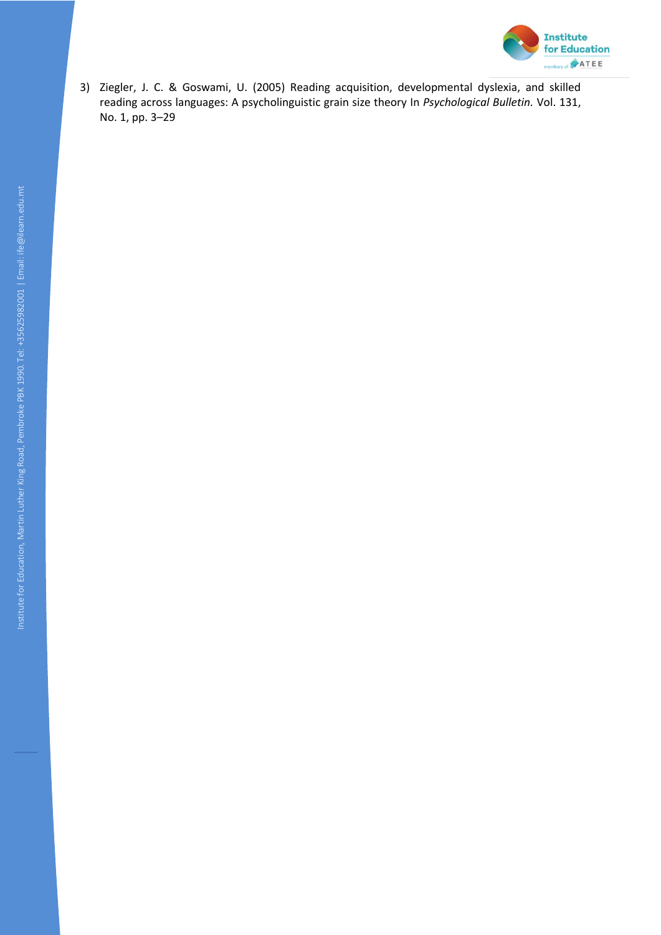

3) Ziegler, J. C. & Goswami, U. (2005) Reading acquisition, developmental dyslexia, and skilled reading across languages: A psycholinguistic grain size theory In *Psychological Bulletin.* Vol. 131, No. 1, pp. 3–29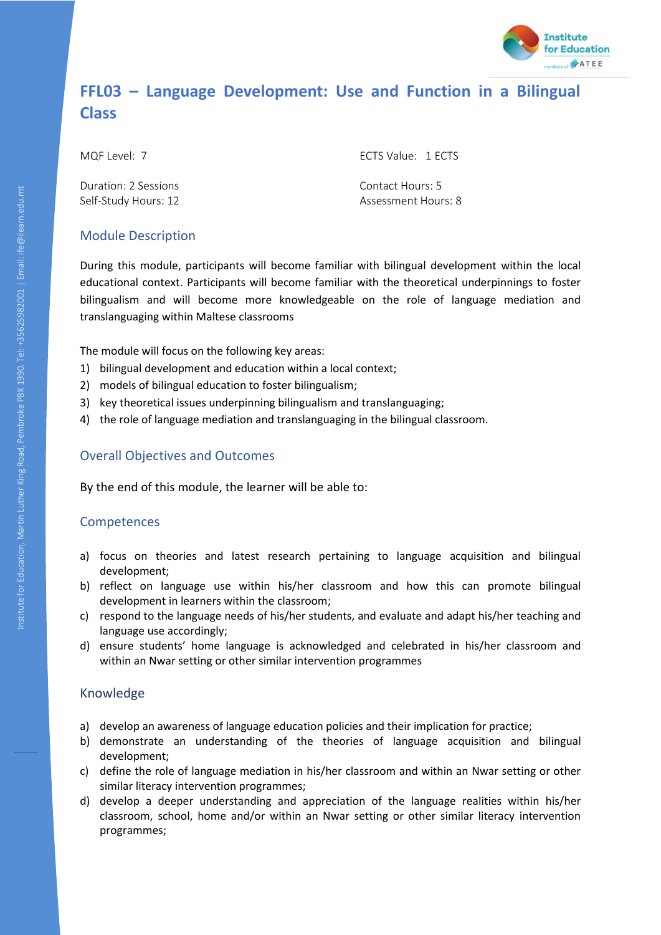

# **FFL03 – Language Development: Use and Function in a Bilingual Class**

MQF Level: 7 ECTS Value: 1 ECTS

Duration: 2 Sessions Contact Hours: 5

Self-Study Hours: 12 Assessment Hours: 8

# Module Description

During this module, participants will become familiar with bilingual development within the local educational context. Participants will become familiar with the theoretical underpinnings to foster bilingualism and will become more knowledgeable on the role of language mediation and translanguaging within Maltese classrooms

The module will focus on the following key areas:

- 1) bilingual development and education within a local context;
- 2) models of bilingual education to foster bilingualism;
- 3) key theoretical issues underpinning bilingualism and translanguaging;
- 4) the role of language mediation and translanguaging in the bilingual classroom.

# Overall Objectives and Outcomes

By the end of this module, the learner will be able to:

## Competences

- a) focus on theories and latest research pertaining to language acquisition and bilingual development;
- b) reflect on language use within his/her classroom and how this can promote bilingual development in learners within the classroom;
- c) respond to the language needs of his/her students, and evaluate and adapt his/her teaching and language use accordingly;
- d) ensure students' home language is acknowledged and celebrated in his/her classroom and within an Nwar setting or other similar intervention programmes

- a) develop an awareness of language education policies and their implication for practice;
- b) demonstrate an understanding of the theories of language acquisition and bilingual development;
- c) define the role of language mediation in his/her classroom and within an Nwar setting or other similar literacy intervention programmes;
- d) develop a deeper understanding and appreciation of the language realities within his/her classroom, school, home and/or within an Nwar setting or other similar literacy intervention programmes;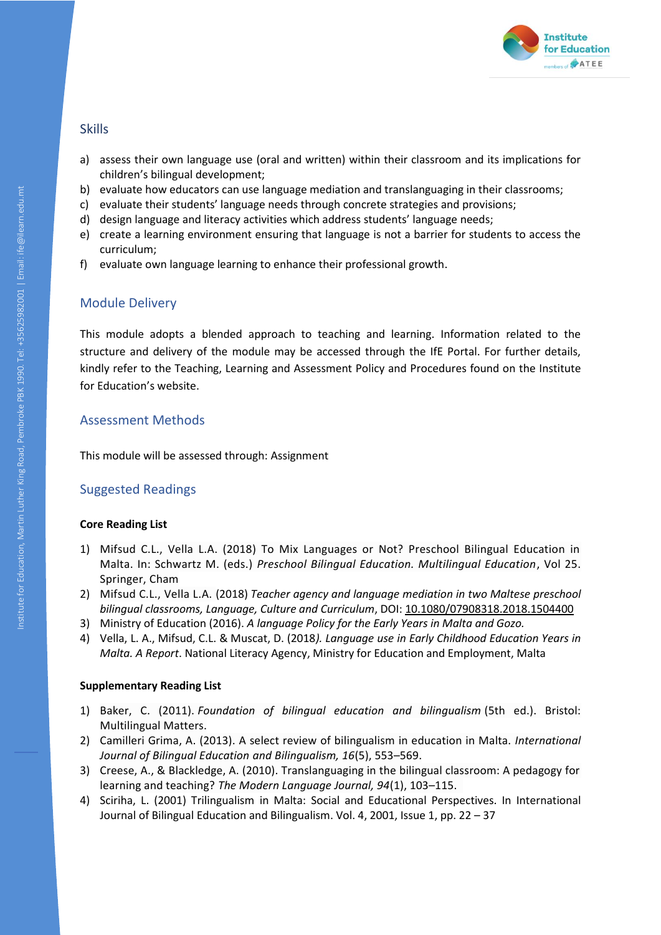

- a) assess their own language use (oral and written) within their classroom and its implications for children's bilingual development;
- b) evaluate how educators can use language mediation and translanguaging in their classrooms;
- c) evaluate their students' language needs through concrete strategies and provisions;
- d) design language and literacy activities which address students' language needs;
- e) create a learning environment ensuring that language is not a barrier for students to access the curriculum;
- f) evaluate own language learning to enhance their professional growth.

# Module Delivery

This module adopts a blended approach to teaching and learning. Information related to the structure and delivery of the module may be accessed through the IfE Portal. For further details, kindly refer to the Teaching, Learning and Assessment Policy and Procedures found on the Institute for Education's website.

# Assessment Methods

This module will be assessed through: Assignment

# Suggested Readings

## **Core Reading List**

- 1) Mifsud C.L., Vella L.A. (2018) To Mix Languages or Not? Preschool Bilingual Education in Malta. In: Schwartz M. (eds.) *Preschool Bilingual Education. Multilingual Education*, Vol 25. Springer, Cham
- 2) Mifsud C.L., Vella L.A. (2018) *Teacher agency and language mediation in two Maltese preschool bilingual classrooms, Language, Culture and Curriculum*, DOI: [10.1080/07908318.2018.1504400](https://doi.org/10.1080/07908318.2018.1504400)
- 3) Ministry of Education (2016). *A language Policy for the Early Years in Malta and Gozo.*
- 4) Vella, L. A., Mifsud, C.L. & Muscat, D. (2018*). Language use in Early Childhood Education Years in Malta. A Report*. National Literacy Agency, Ministry for Education and Employment, Malta

- 1) Baker, C. (2011). *Foundation of bilingual education and bilingualism* (5th ed.). Bristol: Multilingual Matters.
- 2) Camilleri Grima, A. (2013). A select review of bilingualism in education in Malta. *International Journal of Bilingual Education and Bilingualism, 16*(5), 553–569.
- 3) Creese, A., & Blackledge, A. (2010). Translanguaging in the bilingual classroom: A pedagogy for learning and teaching? *The Modern Language Journal, 94*(1), 103–115.
- 4) Sciriha, L. (2001) Trilingualism in Malta: Social and Educational Perspectives. In International Journal of Bilingual Education and Bilingualism. Vol. 4, 2001, Issue 1, pp. 22 – 37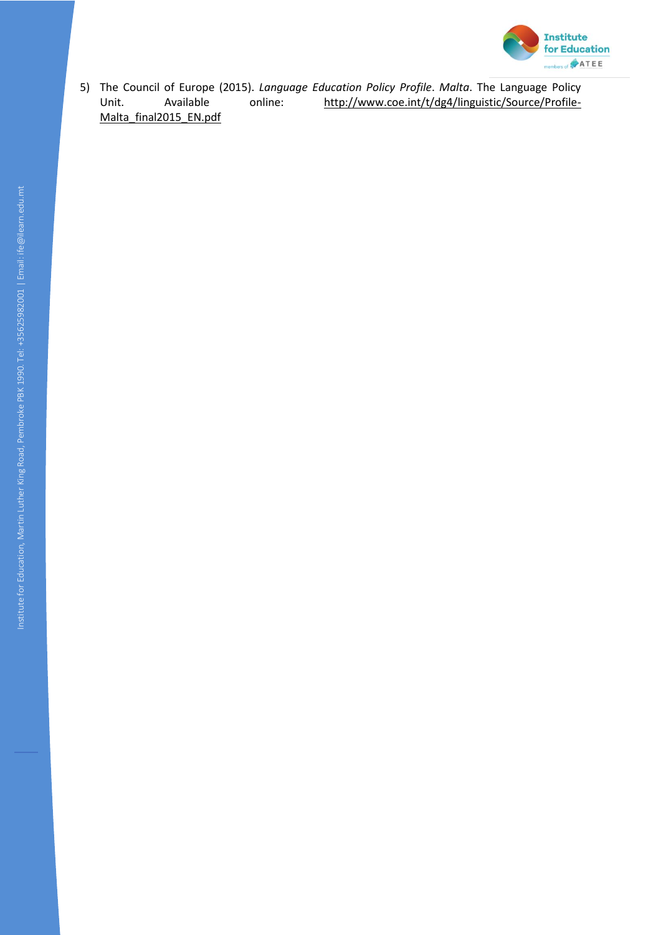

5) The Council of Europe (2015). *Language Education Policy Profile*. *Malta*. The Language Policy Unit. Available online: [http://www.coe.int/t/dg4/linguistic/Source/Profile-](http://www.coe.int/t/dg4/linguistic/Source/Profile-Malta_final2015_EN.pdf)[Malta\\_final2015\\_EN.pdf](http://www.coe.int/t/dg4/linguistic/Source/Profile-Malta_final2015_EN.pdf)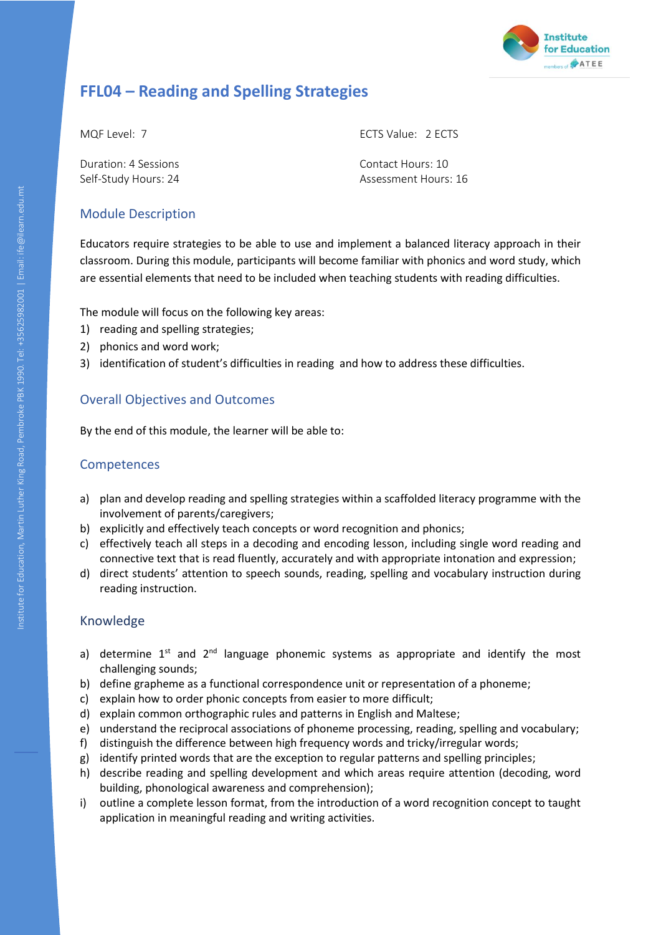

# **FFL04 – Reading and Spelling Strategies**

Duration: 4 Sessions Contact Hours: 10

MQF Level: 7 ECTS Value: 2 ECTS

Self-Study Hours: 24 Assessment Hours: 16

# Module Description

Educators require strategies to be able to use and implement a balanced literacy approach in their classroom. During this module, participants will become familiar with phonics and word study, which are essential elements that need to be included when teaching students with reading difficulties.

The module will focus on the following key areas:

- 1) reading and spelling strategies;
- 2) phonics and word work;
- 3) identification of student's difficulties in reading and how to address these difficulties.

# Overall Objectives and Outcomes

By the end of this module, the learner will be able to:

# Competences

- a) plan and develop reading and spelling strategies within a scaffolded literacy programme with the involvement of parents/caregivers;
- b) explicitly and effectively teach concepts or word recognition and phonics;
- c) effectively teach all steps in a decoding and encoding lesson, including single word reading and connective text that is read fluently, accurately and with appropriate intonation and expression;
- d) direct students' attention to speech sounds, reading, spelling and vocabulary instruction during reading instruction.

- a) determine  $1^{st}$  and  $2^{nd}$  language phonemic systems as appropriate and identify the most challenging sounds;
- b) define grapheme as a functional correspondence unit or representation of a phoneme;
- c) explain how to order phonic concepts from easier to more difficult;
- d) explain common orthographic rules and patterns in English and Maltese;
- e) understand the reciprocal associations of phoneme processing, reading, spelling and vocabulary;
- f) distinguish the difference between high frequency words and tricky/irregular words;
- g) identify printed words that are the exception to regular patterns and spelling principles;
- h) describe reading and spelling development and which areas require attention (decoding, word building, phonological awareness and comprehension);
- i) outline a complete lesson format, from the introduction of a word recognition concept to taught application in meaningful reading and writing activities.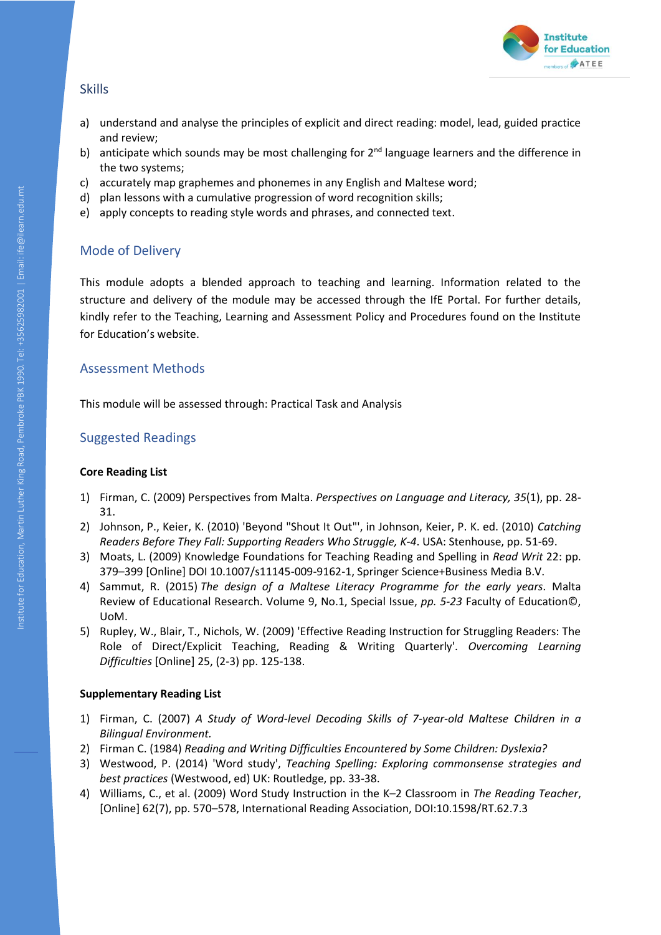

- a) understand and analyse the principles of explicit and direct reading: model, lead, guided practice and review;
- b) anticipate which sounds may be most challenging for  $2<sup>nd</sup>$  language learners and the difference in the two systems;
- c) accurately map graphemes and phonemes in any English and Maltese word;
- d) plan lessons with a cumulative progression of word recognition skills;
- e) apply concepts to reading style words and phrases, and connected text.

# Mode of Delivery

This module adopts a blended approach to teaching and learning. Information related to the structure and delivery of the module may be accessed through the IfE Portal. For further details, kindly refer to the Teaching, Learning and Assessment Policy and Procedures found on the Institute for Education's website.

# Assessment Methods

This module will be assessed through: Practical Task and Analysis

# Suggested Readings

#### **Core Reading List**

- 1) Firman, C. (2009) Perspectives from Malta. *Perspectives on Language and Literacy, 35*(1), pp. 28- 31.
- 2) Johnson, P., Keier, K. (2010) 'Beyond "Shout It Out"', in Johnson, Keier, P. K. ed. (2010) *Catching Readers Before They Fall: Supporting Readers Who Struggle, K-4*. USA: Stenhouse, pp. 51-69.
- 3) Moats, L. (2009) Knowledge Foundations for Teaching Reading and Spelling in *Read Writ* 22: pp. 379–399 [Online] DOI 10.1007/s11145-009-9162-1, Springer Science+Business Media B.V.
- 4) Sammut, R. (2015) *The design of a Maltese Literacy Programme for the early years.* Malta Review of Educational Research. Volume 9, No.1, Special Issue, *pp. 5-23* Faculty of Education©, UoM.
- 5) Rupley, W., Blair, T., Nichols, W. (2009) 'Effective Reading Instruction for Struggling Readers: The Role of Direct/Explicit Teaching, Reading & Writing Quarterly'. *Overcoming Learning Difficulties* [Online] 25, (2-3) pp. 125-138.

- 1) Firman, C. (2007) *A Study of Word-level Decoding Skills of 7-year-old Maltese Children in a Bilingual Environment.*
- 2) Firman C. (1984) *Reading and Writing Difficulties Encountered by Some Children: Dyslexia?*
- 3) Westwood, P. (2014) 'Word study', *Teaching Spelling: Exploring commonsense strategies and best practices* (Westwood, ed) UK: Routledge, pp. 33-38.
- 4) Williams, C., et al. (2009) Word Study Instruction in the K–2 Classroom in *The Reading Teacher*, [Online] 62(7), pp. 570–578, International Reading Association, DOI:10.1598/RT.62.7.3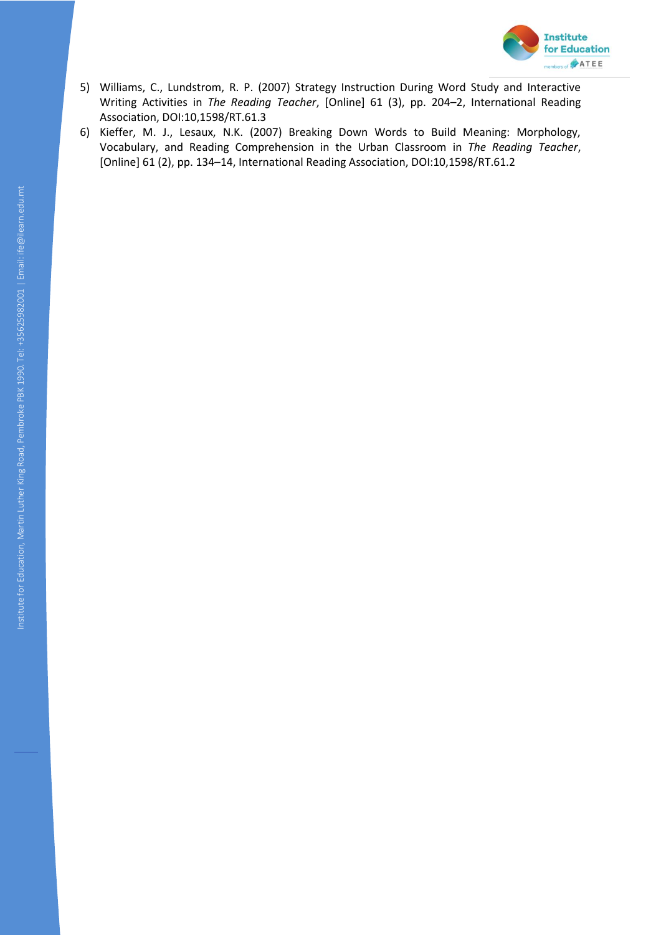

- 5) Williams, C., Lundstrom, R. P. (2007) Strategy Instruction During Word Study and Interactive Writing Activities in *The Reading Teacher*, [Online] 61 (3), pp. 204–2, International Reading Association, DOI:10,1598/RT.61.3
- 6) Kieffer, M. J., Lesaux, N.K. (2007) Breaking Down Words to Build Meaning: Morphology, Vocabulary, and Reading Comprehension in the Urban Classroom in *The Reading Teacher*, [Online] 61 (2), pp. 134–14, International Reading Association, DOI:10,1598/RT.61.2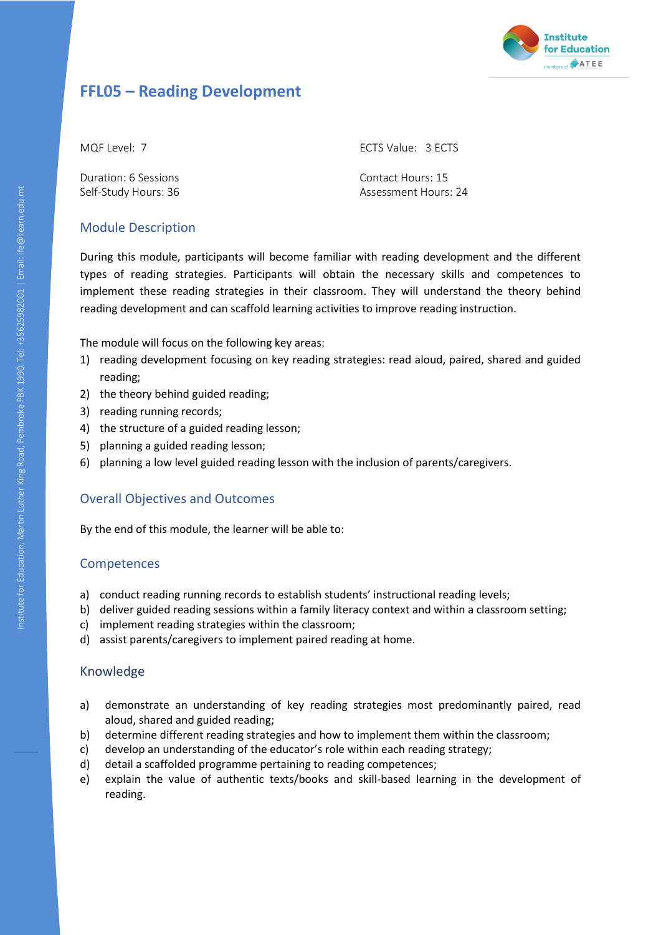

# **FFL05 – Reading Development**

Duration: 6 Sessions Contact Hours: 15

MQF Level: 7 ECTS Value: 3 ECTS

Self-Study Hours: 36 Assessment Hours: 24

# Module Description

During this module, participants will become familiar with reading development and the different types of reading strategies. Participants will obtain the necessary skills and competences to implement these reading strategies in their classroom. They will understand the theory behind reading development and can scaffold learning activities to improve reading instruction.

The module will focus on the following key areas:

- 1) reading development focusing on key reading strategies: read aloud, paired, shared and guided reading;
- 2) the theory behind guided reading;
- 3) reading running records;
- 4) the structure of a guided reading lesson;
- 5) planning a guided reading lesson;
- 6) planning a low level guided reading lesson with the inclusion of parents/caregivers.

# Overall Objectives and Outcomes

By the end of this module, the learner will be able to:

## Competences

- a) conduct reading running records to establish students' instructional reading levels;
- b) deliver guided reading sessions within a family literacy context and within a classroom setting;
- c) implement reading strategies within the classroom;
- d) assist parents/caregivers to implement paired reading at home.

- a) demonstrate an understanding of key reading strategies most predominantly paired, read aloud, shared and guided reading;
- b) determine different reading strategies and how to implement them within the classroom;
- c) develop an understanding of the educator's role within each reading strategy;
- d) detail a scaffolded programme pertaining to reading competences;
- e) explain the value of authentic texts/books and skill-based learning in the development of reading.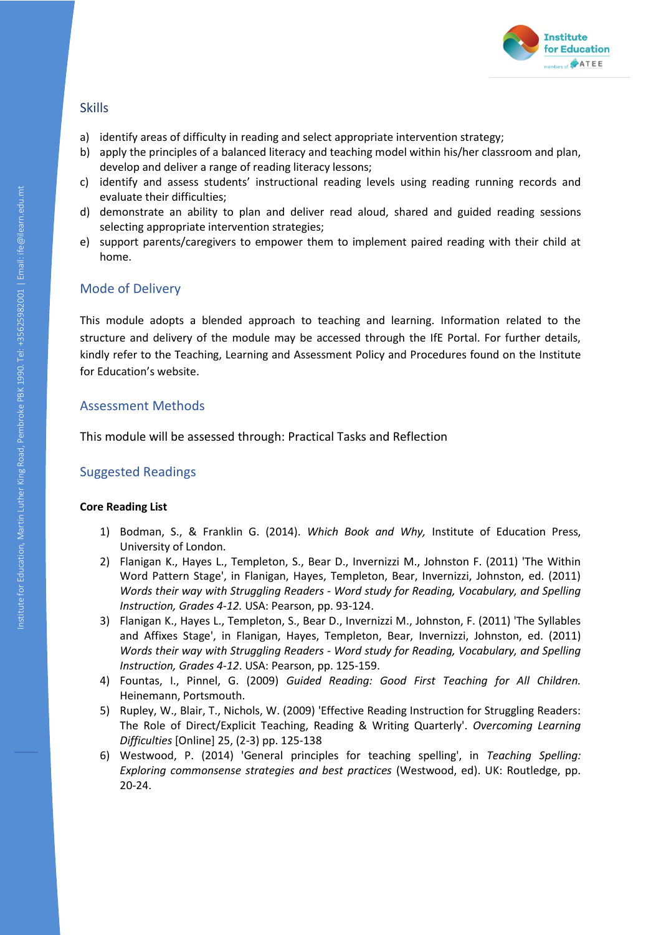

- a) identify areas of difficulty in reading and select appropriate intervention strategy;
- b) apply the principles of a balanced literacy and teaching model within his/her classroom and plan, develop and deliver a range of reading literacy lessons;
- c) identify and assess students' instructional reading levels using reading running records and evaluate their difficulties;
- d) demonstrate an ability to plan and deliver read aloud, shared and guided reading sessions selecting appropriate intervention strategies;
- e) support parents/caregivers to empower them to implement paired reading with their child at home.

## Mode of Delivery

This module adopts a blended approach to teaching and learning. Information related to the structure and delivery of the module may be accessed through the IfE Portal. For further details, kindly refer to the Teaching, Learning and Assessment Policy and Procedures found on the Institute for Education's website.

## Assessment Methods

This module will be assessed through: Practical Tasks and Reflection

# Suggested Readings

#### **Core Reading List**

- 1) Bodman, S., & Franklin G. (2014). *Which Book and Why,* Institute of Education Press, University of London.
- 2) Flanigan K., Hayes L., Templeton, S., Bear D., Invernizzi M., Johnston F. (2011) 'The Within Word Pattern Stage', in Flanigan, Hayes, Templeton, Bear, Invernizzi, Johnston, ed. (2011) *Words their way with Struggling Readers - Word study for Reading, Vocabulary, and Spelling Instruction, Grades 4-12.* USA: Pearson, pp. 93-124.
- 3) Flanigan K., Hayes L., Templeton, S., Bear D., Invernizzi M., Johnston, F. (2011) 'The Syllables and Affixes Stage', in Flanigan, Hayes, Templeton, Bear, Invernizzi, Johnston, ed. (2011) *Words their way with Struggling Readers - Word study for Reading, Vocabulary, and Spelling Instruction, Grades 4-12*. USA: Pearson, pp. 125-159.
- 4) Fountas, I., Pinnel, G. (2009) *Guided Reading: Good First Teaching for All Children.*  Heinemann, Portsmouth.
- 5) Rupley, W., Blair, T., Nichols, W. (2009) 'Effective Reading Instruction for Struggling Readers: The Role of Direct/Explicit Teaching, Reading & Writing Quarterly'. *Overcoming Learning Difficulties* [Online] 25, (2-3) pp. 125-138
- 6) Westwood, P. (2014) 'General principles for teaching spelling', in *Teaching Spelling: Exploring commonsense strategies and best practices* (Westwood, ed). UK: Routledge, pp. 20-24.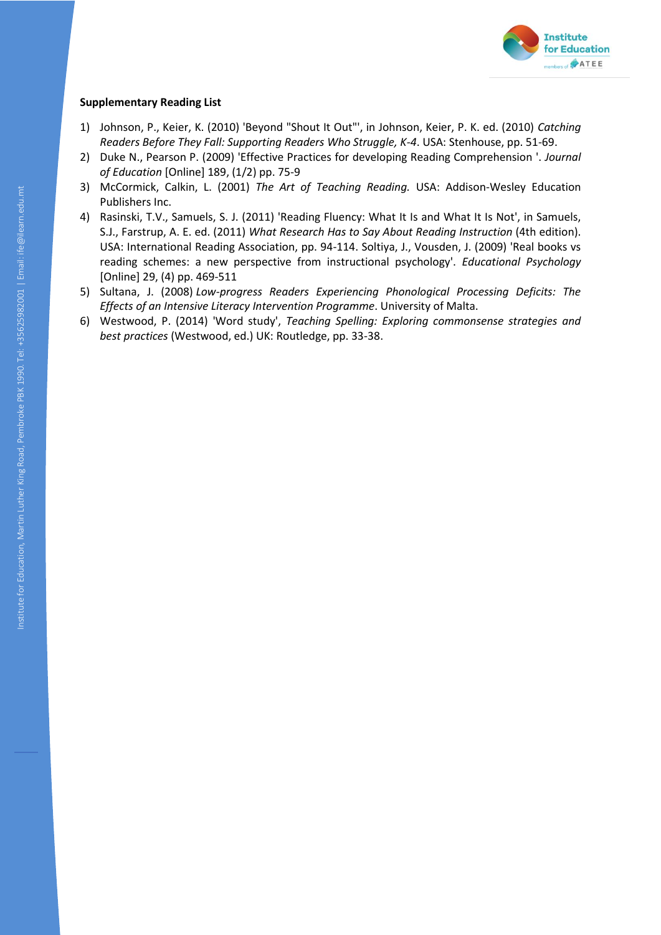

- 1) Johnson, P., Keier, K. (2010) 'Beyond "Shout It Out"', in Johnson, Keier, P. K. ed. (2010) *Catching Readers Before They Fall: Supporting Readers Who Struggle, K-4*. USA: Stenhouse, pp. 51-69.
- 2) Duke N., Pearson P. (2009) 'Effective Practices for developing Reading Comprehension '. *Journal of Education* [Online] 189, (1/2) pp. 75-9
- 3) McCormick, Calkin, L. (2001) *The Art of Teaching Reading.* USA: Addison-Wesley Education Publishers Inc.
- 4) Rasinski, T.V., Samuels, S. J. (2011) 'Reading Fluency: What It Is and What It Is Not', in Samuels, S.J., Farstrup, A. E. ed. (2011) *What Research Has to Say About Reading Instruction* (4th edition). USA: International Reading Association, pp. 94-114. Soltiya, J., Vousden, J. (2009) 'Real books vs reading schemes: a new perspective from instructional psychology'. *Educational Psychology*  [Online] 29, (4) pp. 469-511
- 5) Sultana, J. (2008) *Low-progress Readers Experiencing Phonological Processing Deficits: The Effects of an Intensive Literacy Intervention Programme*. University of Malta.
- 6) Westwood, P. (2014) 'Word study', *Teaching Spelling: Exploring commonsense strategies and best practices* (Westwood, ed.) UK: Routledge, pp. 33-38.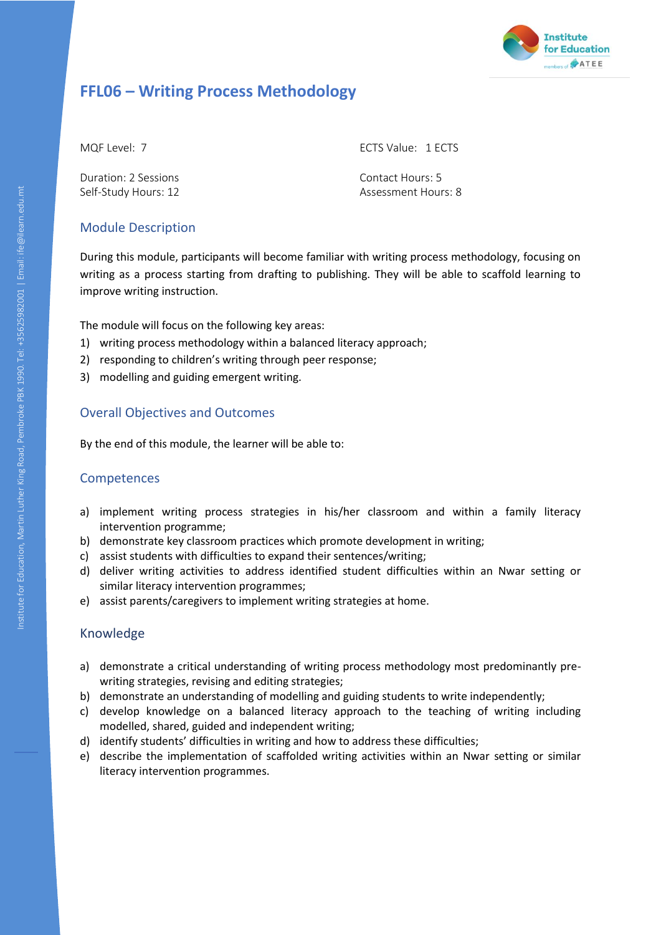

# **FFL06 – Writing Process Methodology**

Duration: 2 Sessions Contact Hours: 5

MQF Level: 7 ECTS Value: 1 ECTS

Self-Study Hours: 12 Assessment Hours: 8

# Module Description

During this module, participants will become familiar with writing process methodology, focusing on writing as a process starting from drafting to publishing. They will be able to scaffold learning to improve writing instruction.

The module will focus on the following key areas:

- 1) writing process methodology within a balanced literacy approach;
- 2) responding to children's writing through peer response;
- 3) modelling and guiding emergent writing.

# Overall Objectives and Outcomes

By the end of this module, the learner will be able to:

# Competences

- a) implement writing process strategies in his/her classroom and within a family literacy intervention programme;
- b) demonstrate key classroom practices which promote development in writing;
- c) assist students with difficulties to expand their sentences/writing;
- d) deliver writing activities to address identified student difficulties within an Nwar setting or similar literacy intervention programmes;
- e) assist parents/caregivers to implement writing strategies at home.

- a) demonstrate a critical understanding of writing process methodology most predominantly prewriting strategies, revising and editing strategies;
- b) demonstrate an understanding of modelling and guiding students to write independently;
- c) develop knowledge on a balanced literacy approach to the teaching of writing including modelled, shared, guided and independent writing;
- d) identify students' difficulties in writing and how to address these difficulties;
- e) describe the implementation of scaffolded writing activities within an Nwar setting or similar literacy intervention programmes.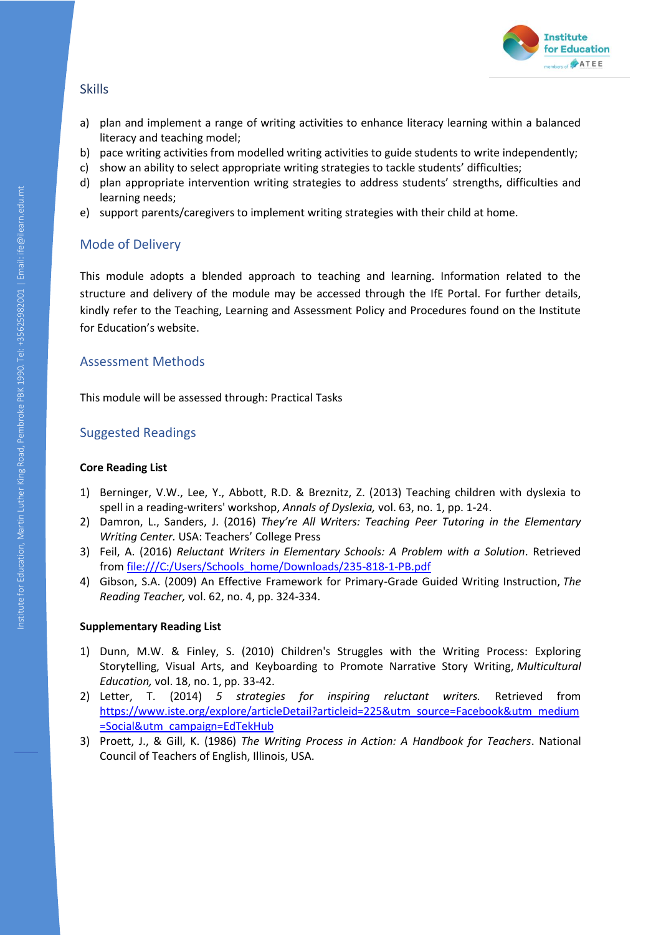

- a) plan and implement a range of writing activities to enhance literacy learning within a balanced literacy and teaching model;
- b) pace writing activities from modelled writing activities to guide students to write independently;
- c) show an ability to select appropriate writing strategies to tackle students' difficulties;
- d) plan appropriate intervention writing strategies to address students' strengths, difficulties and learning needs;
- e) support parents/caregivers to implement writing strategies with their child at home.

## Mode of Delivery

This module adopts a blended approach to teaching and learning. Information related to the structure and delivery of the module may be accessed through the IfE Portal. For further details, kindly refer to the Teaching, Learning and Assessment Policy and Procedures found on the Institute for Education's website.

## Assessment Methods

This module will be assessed through: Practical Tasks

## Suggested Readings

#### **Core Reading List**

- 1) Berninger, V.W., Lee, Y., Abbott, R.D. & Breznitz, Z. (2013) Teaching children with dyslexia to spell in a reading-writers' workshop, *Annals of Dyslexia,* vol. 63, no. 1, pp. 1-24.
- 2) Damron, L., Sanders, J. (2016) *They're All Writers: Teaching Peer Tutoring in the Elementary Writing Center.* USA: Teachers' College Press
- 3) Feil, A. (2016) *Reluctant Writers in Elementary Schools: A Problem with a Solution*. Retrieved from [file:///C:/Users/Schools\\_home/Downloads/235-818-1-PB.pdf](file:///C:/Users/Schools_home/Downloads/235-818-1-PB.pdf)
- 4) Gibson, S.A. (2009) An Effective Framework for Primary-Grade Guided Writing Instruction, *The Reading Teacher,* vol. 62, no. 4, pp. 324-334.

- 1) Dunn, M.W. & Finley, S. (2010) Children's Struggles with the Writing Process: Exploring Storytelling, Visual Arts, and Keyboarding to Promote Narrative Story Writing, *Multicultural Education,* vol. 18, no. 1, pp. 33-42.
- 2) Letter, T. (2014) *5 strategies for inspiring reluctant writers.* Retrieved from [https://www.iste.org/explore/articleDetail?articleid=225&utm\\_source=Facebook&utm\\_medium](https://www.iste.org/explore/articleDetail?articleid=225&utm_source=Facebook&utm_medium=Social&utm_campaign=EdTekHub) [=Social&utm\\_campaign=EdTekHub](https://www.iste.org/explore/articleDetail?articleid=225&utm_source=Facebook&utm_medium=Social&utm_campaign=EdTekHub)
- 3) Proett, J., & Gill, K. (1986) *The Writing Process in Action: A Handbook for Teachers*. National Council of Teachers of English, Illinois, USA.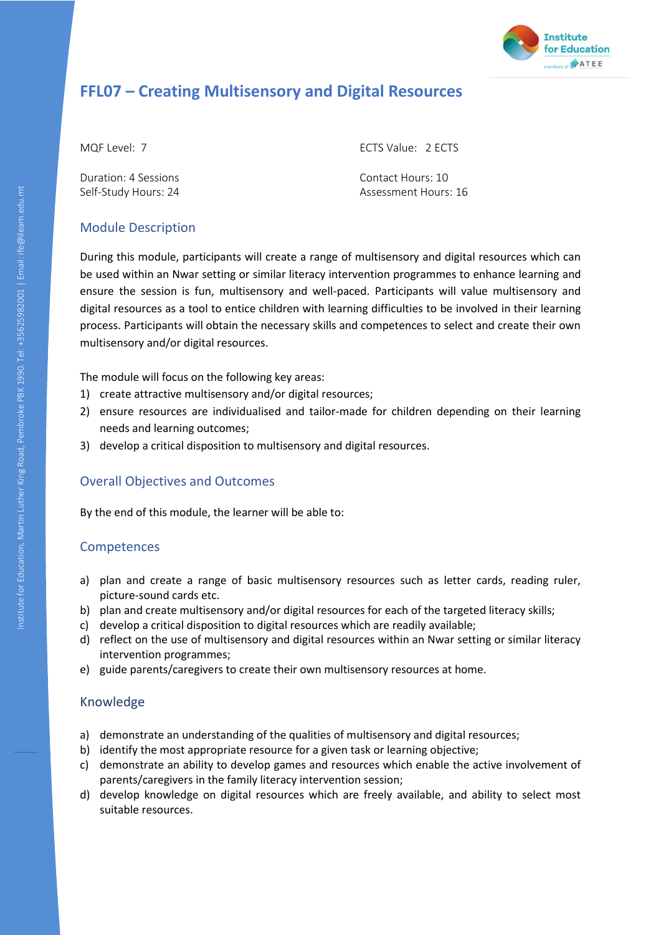

# **FFL07 – Creating Multisensory and Digital Resources**

Duration: 4 Sessions Contact Hours: 10

MQF Level: 7 ECTS Value: 2 ECTS

Self-Study Hours: 24 Assessment Hours: 16

# Module Description

During this module, participants will create a range of multisensory and digital resources which can be used within an Nwar setting or similar literacy intervention programmes to enhance learning and ensure the session is fun, multisensory and well-paced. Participants will value multisensory and digital resources as a tool to entice children with learning difficulties to be involved in their learning process. Participants will obtain the necessary skills and competences to select and create their own multisensory and/or digital resources.

The module will focus on the following key areas:

- 1) create attractive multisensory and/or digital resources;
- 2) ensure resources are individualised and tailor-made for children depending on their learning needs and learning outcomes;
- 3) develop a critical disposition to multisensory and digital resources.

# Overall Objectives and Outcomes

By the end of this module, the learner will be able to:

# **Competences**

- a) plan and create a range of basic multisensory resources such as letter cards, reading ruler, picture-sound cards etc.
- b) plan and create multisensory and/or digital resources for each of the targeted literacy skills;
- c) develop a critical disposition to digital resources which are readily available;
- d) reflect on the use of multisensory and digital resources within an Nwar setting or similar literacy intervention programmes;
- e) guide parents/caregivers to create their own multisensory resources at home.

- a) demonstrate an understanding of the qualities of multisensory and digital resources;
- b) identify the most appropriate resource for a given task or learning objective;
- c) demonstrate an ability to develop games and resources which enable the active involvement of parents/caregivers in the family literacy intervention session;
- d) develop knowledge on digital resources which are freely available, and ability to select most suitable resources.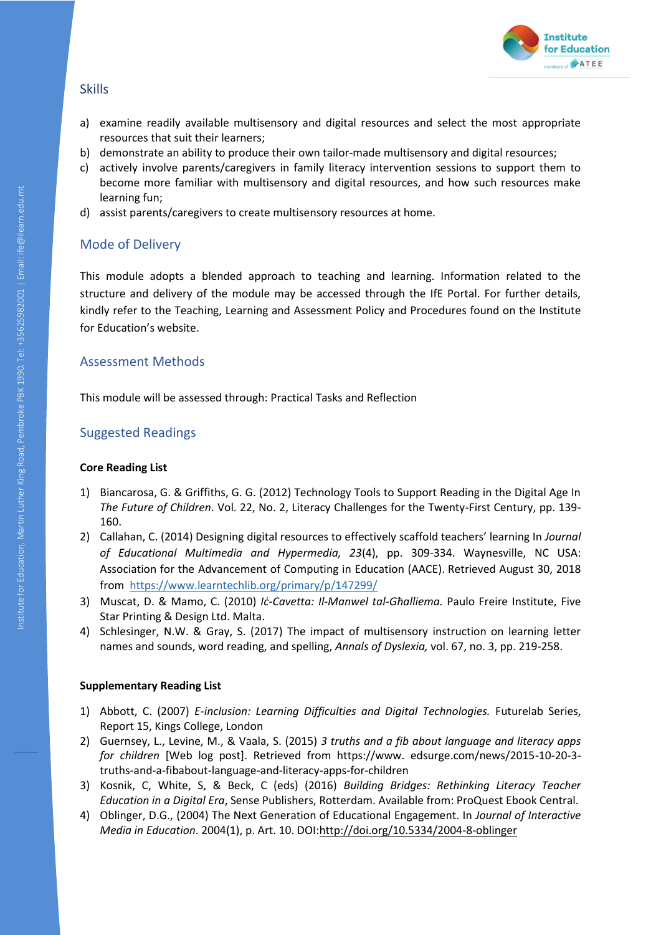

- a) examine readily available multisensory and digital resources and select the most appropriate resources that suit their learners;
- b) demonstrate an ability to produce their own tailor-made multisensory and digital resources;
- c) actively involve parents/caregivers in family literacy intervention sessions to support them to become more familiar with multisensory and digital resources, and how such resources make learning fun;
- d) assist parents/caregivers to create multisensory resources at home.

## Mode of Delivery

This module adopts a blended approach to teaching and learning. Information related to the structure and delivery of the module may be accessed through the IfE Portal. For further details, kindly refer to the Teaching, Learning and Assessment Policy and Procedures found on the Institute for Education's website.

#### Assessment Methods

This module will be assessed through: Practical Tasks and Reflection

#### Suggested Readings

#### **Core Reading List**

- 1) Biancarosa, G. & Griffiths, G. G. (2012) Technology Tools to Support Reading in the Digital Age In *The Future of Children*. Vol. 22, No. 2, Literacy Challenges for the Twenty-First Century, pp. 139- 160.
- 2) Callahan, C. (2014) Designing digital resources to effectively scaffold teachers' learning In *Journal of Educational Multimedia and Hypermedia, 23*(4), pp. 309-334. Waynesville, NC USA: Association for the Advancement of Computing in Education (AACE). Retrieved August 30, 2018 from<https://www.learntechlib.org/primary/p/147299/>
- 3) Muscat, D. & Mamo, C. (2010) *Iċ-Cavetta: Il-Manwel tal-Għalliema.* Paulo Freire Institute, Five Star Printing & Design Ltd. Malta.
- 4) Schlesinger, N.W. & Gray, S. (2017) The impact of multisensory instruction on learning letter names and sounds, word reading, and spelling, *Annals of Dyslexia,* vol. 67, no. 3, pp. 219-258.

- 1) Abbott, C. (2007) *E-inclusion: Learning Difficulties and Digital Technologies.* Futurelab Series, Report 15, Kings College, London
- 2) Guernsey, L., Levine, M., & Vaala, S. (2015) *3 truths and a fib about language and literacy apps for children* [Web log post]. Retrieved from https://www. edsurge.com/news/2015-10-20-3 truths-and-a-fibabout-language-and-literacy-apps-for-children
- 3) Kosnik, C, White, S, & Beck, C (eds) (2016) *Building Bridges: Rethinking Literacy Teacher Education in a Digital Era*, Sense Publishers, Rotterdam. Available from: ProQuest Ebook Central.
- 4) Oblinger, D.G., (2004) The Next Generation of Educational Engagement. In *Journal of Interactive Media in Education*. 2004(1), p. Art. 10. DOI[:http://doi.org/10.5334/2004-8-oblinger](http://doi.org/10.5334/2004-8-oblinger)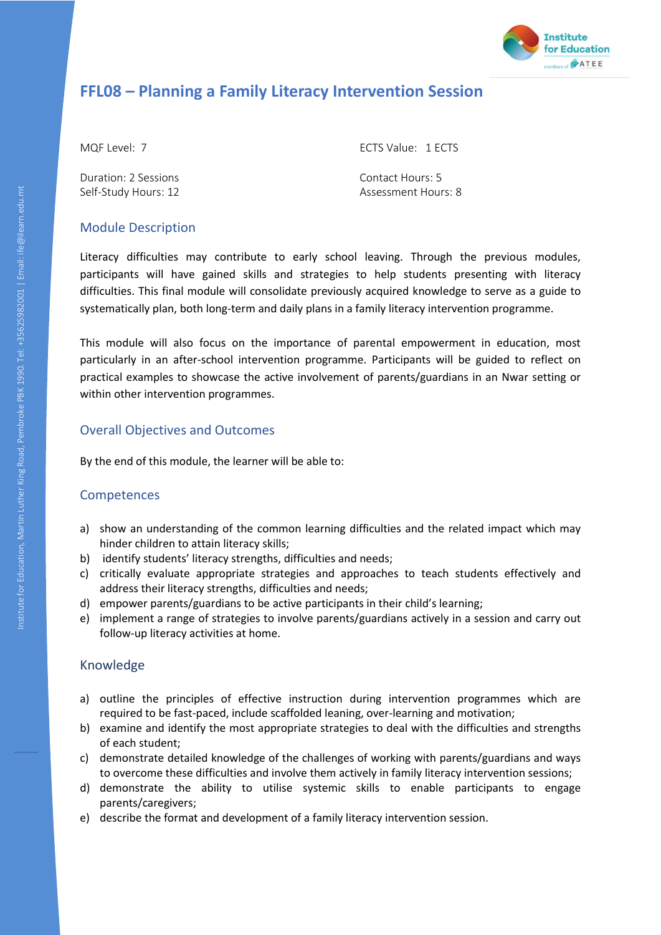

# **FFL08 – Planning a Family Literacy Intervention Session**

Duration: 2 Sessions Contact Hours: 5

MQF Level: 7 ECTS Value: 1 ECTS

Self-Study Hours: 12 Assessment Hours: 8

# Module Description

Literacy difficulties may contribute to early school leaving. Through the previous modules, participants will have gained skills and strategies to help students presenting with literacy difficulties. This final module will consolidate previously acquired knowledge to serve as a guide to systematically plan, both long-term and daily plans in a family literacy intervention programme.

This module will also focus on the importance of parental empowerment in education, most particularly in an after-school intervention programme. Participants will be guided to reflect on practical examples to showcase the active involvement of parents/guardians in an Nwar setting or within other intervention programmes.

# Overall Objectives and Outcomes

By the end of this module, the learner will be able to:

## Competences

- a) show an understanding of the common learning difficulties and the related impact which may hinder children to attain literacy skills;
- b) identify students' literacy strengths, difficulties and needs;
- c) critically evaluate appropriate strategies and approaches to teach students effectively and address their literacy strengths, difficulties and needs;
- d) empower parents/guardians to be active participants in their child's learning;
- e) implement a range of strategies to involve parents/guardians actively in a session and carry out follow-up literacy activities at home.

- a) outline the principles of effective instruction during intervention programmes which are required to be fast-paced, include scaffolded leaning, over-learning and motivation;
- b) examine and identify the most appropriate strategies to deal with the difficulties and strengths of each student;
- c) demonstrate detailed knowledge of the challenges of working with parents/guardians and ways to overcome these difficulties and involve them actively in family literacy intervention sessions;
- d) demonstrate the ability to utilise systemic skills to enable participants to engage parents/caregivers;
- e) describe the format and development of a family literacy intervention session.